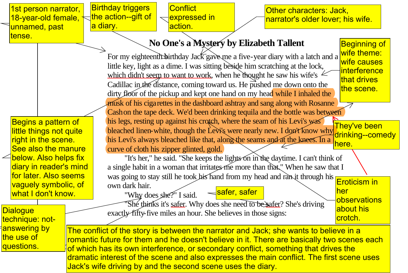|                                                                       | 1st person narrator,  |                                                                                                                                                                                     | <b>Birthday triggers</b>                                                              | Conflict                                                                     |              | Other characters: Jack,           |                     |            |
|-----------------------------------------------------------------------|-----------------------|-------------------------------------------------------------------------------------------------------------------------------------------------------------------------------------|---------------------------------------------------------------------------------------|------------------------------------------------------------------------------|--------------|-----------------------------------|---------------------|------------|
|                                                                       | 18-year-old female,   |                                                                                                                                                                                     | the action--gift of                                                                   | expressed in                                                                 |              | narrator's older lover; his wife. |                     |            |
|                                                                       | unnamed, past         |                                                                                                                                                                                     | a diary.                                                                              | action.                                                                      |              |                                   |                     |            |
| tense.                                                                |                       |                                                                                                                                                                                     |                                                                                       |                                                                              |              |                                   | <b>Beginning of</b> |            |
|                                                                       |                       |                                                                                                                                                                                     | No One's a Mystery by Elizabeth Tallent                                               |                                                                              |              |                                   |                     |            |
|                                                                       |                       |                                                                                                                                                                                     | For my eighteenth birthday Jack gave me a five-year diary with a latch and a          |                                                                              |              |                                   |                     |            |
|                                                                       |                       |                                                                                                                                                                                     | little key, light as a dime. I was sitting beside him scratching at the lock,         |                                                                              |              |                                   |                     |            |
|                                                                       |                       |                                                                                                                                                                                     |                                                                                       | which didn't seem to want to work, when he thought he saw his wife's $\leq$  |              |                                   | interference        |            |
|                                                                       |                       |                                                                                                                                                                                     |                                                                                       | Cadillac in the distance, coming toward us. He pushed me down onto the       |              |                                   | that drives         |            |
|                                                                       |                       |                                                                                                                                                                                     | dirty floor of the pickup and kept one hand on my head while I inhaled the            |                                                                              |              | the scene.                        |                     |            |
|                                                                       |                       |                                                                                                                                                                                     |                                                                                       | musk of his cigarettes in the dashboard ashtray and sang along with Rosanne  |              |                                   |                     |            |
|                                                                       |                       |                                                                                                                                                                                     |                                                                                       | Cash on the tape deck. We'd been drinking tequila and the bottle was between |              |                                   |                     |            |
|                                                                       | Begins a pattern of   |                                                                                                                                                                                     |                                                                                       | his legs, resting up against his crotch, where the seam of his Levi's was    |              |                                   | They've been        |            |
| little things not quite<br>right in the scene.<br>See also the manure |                       | bleached linen-white, though the Levi's were nearly new. I don't know why<br>drinking--comedy                                                                                       |                                                                                       |                                                                              |              |                                   |                     |            |
|                                                                       |                       |                                                                                                                                                                                     | his Levi's always bleached like that, along the seams and at the knees. In a<br>here. |                                                                              |              |                                   |                     |            |
|                                                                       |                       | curve of cloth his zipper glinted, gold.                                                                                                                                            |                                                                                       |                                                                              |              |                                   |                     |            |
| below. Also helps fix<br>diary in reader's mind                       |                       |                                                                                                                                                                                     | "It's her," he said. "She keeps the lights on in the daytime. I can't think of        |                                                                              |              |                                   |                     |            |
|                                                                       |                       |                                                                                                                                                                                     | a single habit in a woman that irritates me more than that." When he saw that I       |                                                                              |              |                                   |                     |            |
|                                                                       | for later. Also seems |                                                                                                                                                                                     |                                                                                       | was going to stay still he took his hand from my head and ran it through his |              |                                   | Eroticism in        |            |
|                                                                       | vaguely symbolic, of  |                                                                                                                                                                                     | own dark hair.                                                                        |                                                                              | safer, safer |                                   | her                 |            |
|                                                                       | what I don't know.    |                                                                                                                                                                                     |                                                                                       | "Why does she?" I said.                                                      |              |                                   | observations        |            |
|                                                                       | <b>Dialogue</b>       |                                                                                                                                                                                     |                                                                                       | She thinks it's safer. Why does she need to be safer? She's driving          |              |                                   | about his           |            |
|                                                                       | technique: not-       |                                                                                                                                                                                     |                                                                                       | exactly fifty-five miles an hour. She believes in those signs:               |              |                                   | crotch.             |            |
| answering by<br>the use of                                            |                       | The conflict of the story is between the narrator and Jack; she wants to believe in a<br>romantic future for them and he doesn't believe in it. There are basically two scenes each |                                                                                       |                                                                              |              |                                   |                     |            |
|                                                                       |                       |                                                                                                                                                                                     |                                                                                       |                                                                              |              |                                   |                     | questions. |
|                                                                       |                       |                                                                                                                                                                                     |                                                                                       |                                                                              |              |                                   |                     |            |
|                                                                       |                       | dramatic interest of the scene and also expresses the main conflict. The first scene uses<br>Jack's wife driving by and the second scene uses the diary.                            |                                                                                       |                                                                              |              |                                   |                     |            |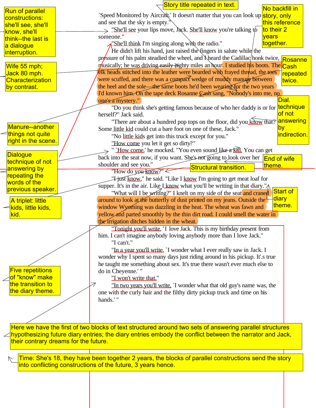